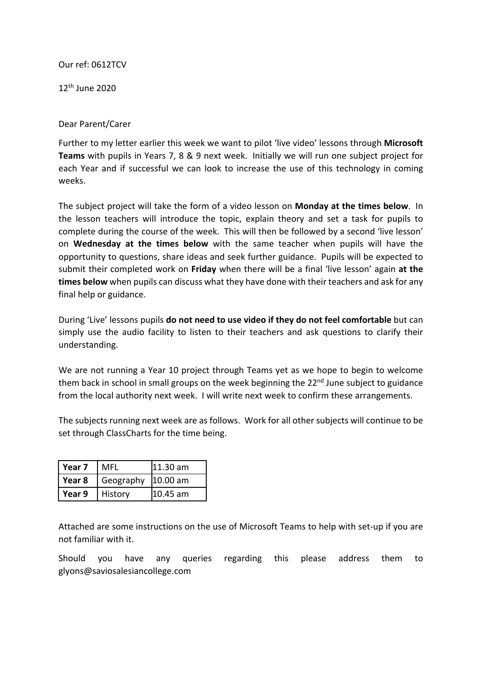## Our ref: 0612TCV

12th June 2020

## Dear Parent/Carer

Further to my letter earlier this week we want to pilot 'live video' lessons through **Microsoft Teams** with pupils in Years 7, 8 & 9 next week. Initially we will run one subject project for each Year and if successful we can look to increase the use of this technology in coming weeks.

The subject project will take the form of a video lesson on **Monday at the times below**. In the lesson teachers will introduce the topic, explain theory and set a task for pupils to complete during the course of the week. This will then be followed by a second 'live lesson' on **Wednesday at the times below** with the same teacher when pupils will have the opportunity to questions, share ideas and seek further guidance. Pupils will be expected to submit their completed work on **Friday** when there will be a final 'live lesson' again **at the times below** when pupils can discuss what they have done with their teachers and ask for any final help or guidance.

During 'Live' lessons pupils **do not need to use video if they do not feel comfortable** but can simply use the audio facility to listen to their teachers and ask questions to clarify their understanding.

We are not running a Year 10 project through Teams yet as we hope to begin to welcome them back in school in small groups on the week beginning the 22<sup>nd</sup> June subject to guidance from the local authority next week. I will write next week to confirm these arrangements.

The subjects running next week are as follows. Work for all other subjects will continue to be set through ClassCharts for the time being.

| Year 7   | MFL       | l11.30 am       |
|----------|-----------|-----------------|
| Year 8   | Geography | <b>10.00 am</b> |
| l Year 9 | History   | 10.45 am        |

Attached are some instructions on the use of Microsoft Teams to help with set-up if you are not familiar with it.

Should you have any queries regarding this please address them to glyons@saviosalesiancollege.com